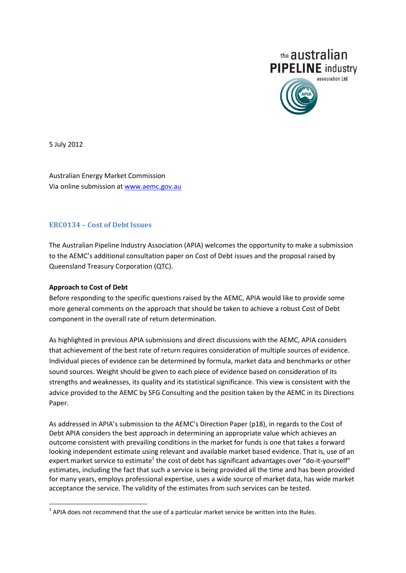

5 July 2012

Australian Energy Market Commission Via online submission a[t www.aemc.gov.au](http://www.aemc.gov.au/)

#### **ERC0134 – Cost of Debt Issues**

The Australian Pipeline Industry Association (APIA) welcomes the opportunity to make a submission to the AEMC's additional consultation paper on Cost of Debt issues and the proposal raised by Queensland Treasury Corporation (QTC).

#### **Approach to Cost of Debt**

Before responding to the specific questions raised by the AEMC, APIA would like to provide some more general comments on the approach that should be taken to achieve a robust Cost of Debt component in the overall rate of return determination.

As highlighted in previous APIA submissions and direct discussions with the AEMC, APIA considers that achievement of the best rate of return requires consideration of multiple sources of evidence. Individual pieces of evidence can be determined by formula, market data and benchmarks or other sound sources. Weight should be given to each piece of evidence based on consideration of its strengths and weaknesses, its quality and its statistical significance. This view is consistent with the advice provided to the AEMC by SFG Consulting and the position taken by the AEMC in its Directions Paper.

As addressed in APIA's submission to the AEMC's Direction Paper (p18), in regards to the Cost of Debt APIA considers the best approach in determining an appropriate value which achieves an outcome consistent with prevailing conditions in the market for funds is one that takes a forward looking independent estimate using relevant and available market based evidence. That is, use of an expert market service to estimate<sup>1</sup> the cost of debt has significant advantages over "do-it-yourself" estimates, including the fact that such a service is being provided all the time and has been provided for many years, employs professional expertise, uses a wide source of market data, has wide market acceptance the service. The validity of the estimates from such services can be tested.

**THE 1988 1898**<br><sup>1</sup> APIA does not recommend that the use of a particular market service be written into the Rules.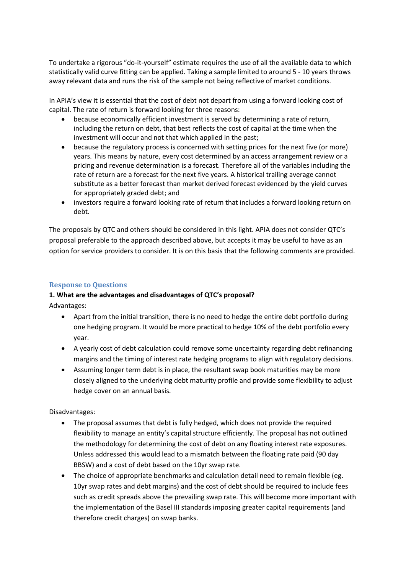To undertake a rigorous "do-it-yourself" estimate requires the use of all the available data to which statistically valid curve fitting can be applied. Taking a sample limited to around 5 - 10 years throws away relevant data and runs the risk of the sample not being reflective of market conditions.

In APIA's view it is essential that the cost of debt not depart from using a forward looking cost of capital. The rate of return is forward looking for three reasons:

- because economically efficient investment is served by determining a rate of return, including the return on debt, that best reflects the cost of capital at the time when the investment will occur and not that which applied in the past;
- because the regulatory process is concerned with setting prices for the next five (or more) years. This means by nature, every cost determined by an access arrangement review or a pricing and revenue determination is a forecast. Therefore all of the variables including the rate of return are a forecast for the next five years. A historical trailing average cannot substitute as a better forecast than market derived forecast evidenced by the yield curves for appropriately graded debt; and
- investors require a forward looking rate of return that includes a forward looking return on debt.

The proposals by QTC and others should be considered in this light. APIA does not consider QTC's proposal preferable to the approach described above, but accepts it may be useful to have as an option for service providers to consider. It is on this basis that the following comments are provided.

#### **Response to Questions**

#### **1. What are the advantages and disadvantages of QTC's proposal?**

Advantages:

- Apart from the initial transition, there is no need to hedge the entire debt portfolio during one hedging program. It would be more practical to hedge 10% of the debt portfolio every year.
- A yearly cost of debt calculation could remove some uncertainty regarding debt refinancing margins and the timing of interest rate hedging programs to align with regulatory decisions.
- Assuming longer term debt is in place, the resultant swap book maturities may be more closely aligned to the underlying debt maturity profile and provide some flexibility to adjust hedge cover on an annual basis.

Disadvantages:

- The proposal assumes that debt is fully hedged, which does not provide the required flexibility to manage an entity's capital structure efficiently. The proposal has not outlined the methodology for determining the cost of debt on any floating interest rate exposures. Unless addressed this would lead to a mismatch between the floating rate paid (90 day BBSW) and a cost of debt based on the 10yr swap rate.
- The choice of appropriate benchmarks and calculation detail need to remain flexible (eg. 10yr swap rates and debt margins) and the cost of debt should be required to include fees such as credit spreads above the prevailing swap rate. This will become more important with the implementation of the Basel III standards imposing greater capital requirements (and therefore credit charges) on swap banks.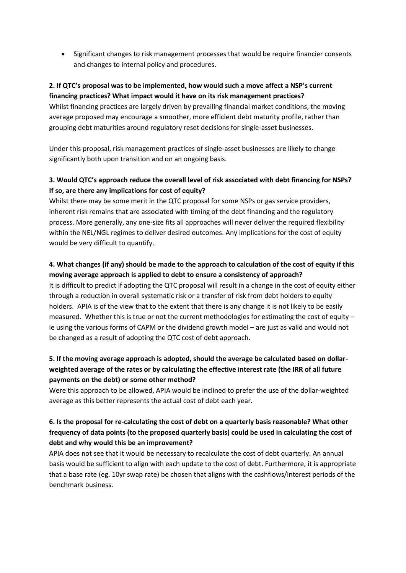Significant changes to risk management processes that would be require financier consents and changes to internal policy and procedures.

### **2. If QTC's proposal was to be implemented, how would such a move affect a NSP's current financing practices? What impact would it have on its risk management practices?**

Whilst financing practices are largely driven by prevailing financial market conditions, the moving average proposed may encourage a smoother, more efficient debt maturity profile, rather than grouping debt maturities around regulatory reset decisions for single-asset businesses.

Under this proposal, risk management practices of single-asset businesses are likely to change significantly both upon transition and on an ongoing basis.

# **3. Would QTC's approach reduce the overall level of risk associated with debt financing for NSPs? If so, are there any implications for cost of equity?**

Whilst there may be some merit in the QTC proposal for some NSPs or gas service providers, inherent risk remains that are associated with timing of the debt financing and the regulatory process. More generally, any one-size fits all approaches will never deliver the required flexibility within the NEL/NGL regimes to deliver desired outcomes. Any implications for the cost of equity would be very difficult to quantify.

# **4. What changes (if any) should be made to the approach to calculation of the cost of equity if this moving average approach is applied to debt to ensure a consistency of approach?**

It is difficult to predict if adopting the QTC proposal will result in a change in the cost of equity either through a reduction in overall systematic risk or a transfer of risk from debt holders to equity holders. APIA is of the view that to the extent that there is any change it is not likely to be easily measured. Whether this is true or not the current methodologies for estimating the cost of equity – ie using the various forms of CAPM or the dividend growth model – are just as valid and would not be changed as a result of adopting the QTC cost of debt approach.

# **5. If the moving average approach is adopted, should the average be calculated based on dollarweighted average of the rates or by calculating the effective interest rate (the IRR of all future payments on the debt) or some other method?**

Were this approach to be allowed, APIA would be inclined to prefer the use of the dollar-weighted average as this better represents the actual cost of debt each year.

# **6. Is the proposal for re-calculating the cost of debt on a quarterly basis reasonable? What other frequency of data points (to the proposed quarterly basis) could be used in calculating the cost of debt and why would this be an improvement?**

APIA does not see that it would be necessary to recalculate the cost of debt quarterly. An annual basis would be sufficient to align with each update to the cost of debt. Furthermore, it is appropriate that a base rate (eg. 10yr swap rate) be chosen that aligns with the cashflows/interest periods of the benchmark business.